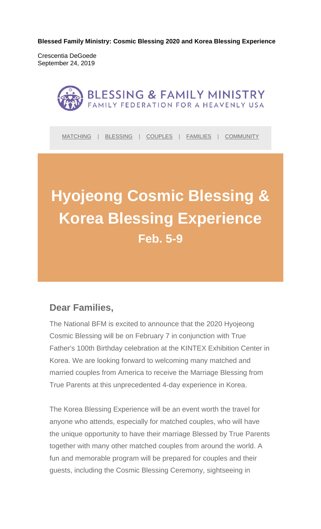**Blessed Family Ministry: Cosmic Blessing 2020 and Korea Blessing Experience** 

Crescentia DeGoede September 24, 2019



MATCHING | BLESSING | COUPLES | FAMILIES | COMMUNITY

# **Hyojeong Cosmic Blessing & Korea Blessing Experience Feb. 5-9**

# **Dear Families,**

The National BFM is excited to announce that the 2020 Hyojeong Cosmic Blessing will be on February 7 in conjunction with True Father's 100th Birthday celebration at the KINTEX Exhibition Center in Korea. We are looking forward to welcoming many matched and married couples from America to receive the Marriage Blessing from True Parents at this unprecedented 4-day experience in Korea.

The Korea Blessing Experience will be an event worth the travel for anyone who attends, especially for matched couples, who will have the unique opportunity to have their marriage Blessed by True Parents together with many other matched couples from around the world. A fun and memorable program will be prepared for couples and their guests, including the Cosmic Blessing Ceremony, sightseeing in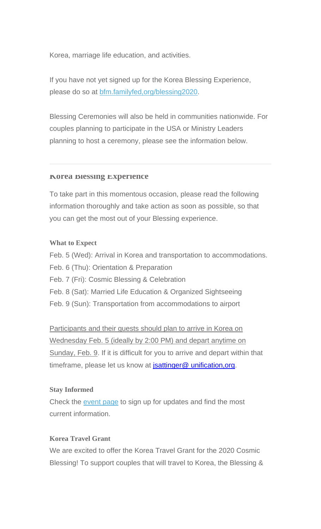Korea, marriage life education, and activities.

If you have not yet signed up for the Korea Blessing Experience, please do so at bfm.familyfed,org/blessing2020.

Blessing Ceremonies will also be held in communities nationwide. For couples planning to participate in the USA or Ministry Leaders planning to host a ceremony, please see the information below.

#### **Korea Blessing Experience**

To take part in this momentous occasion, please read the following information thoroughly and take action as soon as possible, so that you can get the most out of your Blessing experience.

#### **What to Expect**

Feb. 5 (Wed): Arrival in Korea and transportation to accommodations.

- Feb. 6 (Thu): Orientation & Preparation
- Feb. 7 (Fri): Cosmic Blessing & Celebration
- Feb. 8 (Sat): Married Life Education & Organized Sightseeing
- Feb. 9 (Sun): Transportation from accommodations to airport

Participants and their guests should plan to arrive in Korea on Wednesday Feb. 5 (ideally by 2:00 PM) and depart anytime on Sunday, Feb. 9. If it is difficult for you to arrive and depart within that timeframe, please let us know at *jsattinger@* unification, org.

#### **Stay Informed**

Check the event page to sign up for updates and find the most current information.

### **Korea Travel Grant**

We are excited to offer the Korea Travel Grant for the 2020 Cosmic Blessing! To support couples that will travel to Korea, the Blessing &